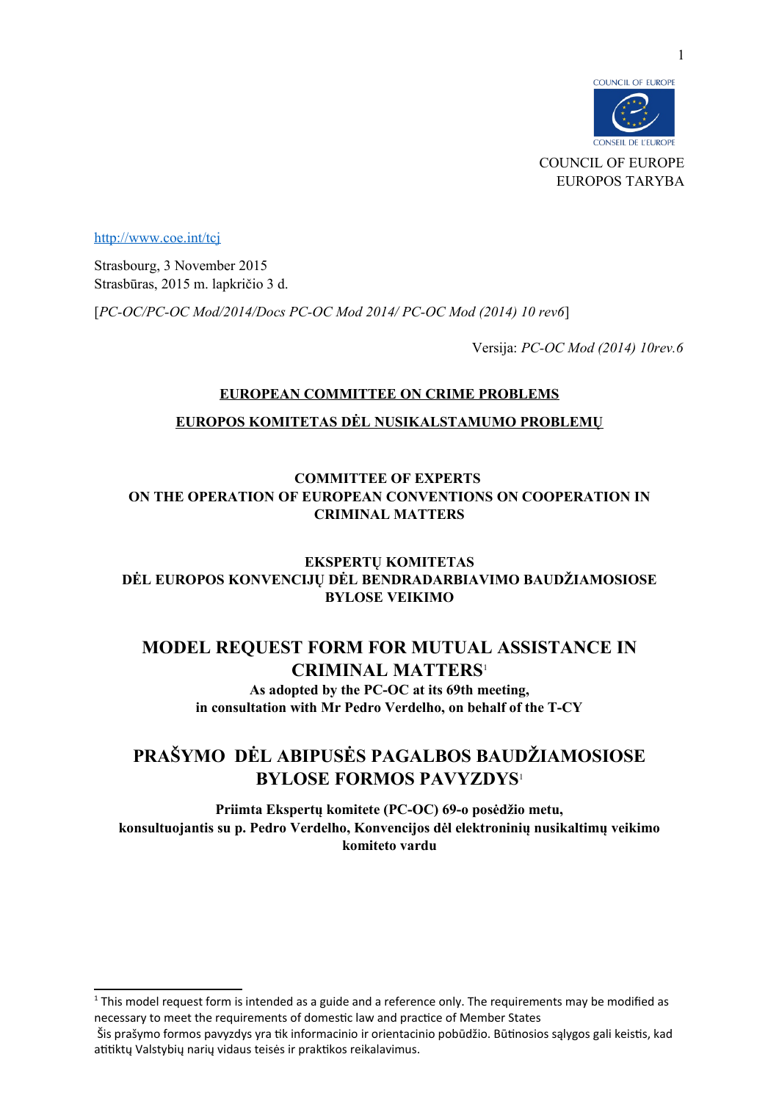

<http://www.coe.int/tcj>

Strasbourg, 3 November 2015 Strasbūras, 2015 m. lapkričio 3 d.

[*PC-OC/PC-OC Mod/2014/Docs PC-OC Mod 2014/ PC-OC Mod (2014) 10 rev6*]

Versija: *PC-OC Mod (2014) 10rev.6*

# **EUROPEAN COMMITTEE ON CRIME PROBLEMS**

### **EUROPOS KOMITETAS DĖL NUSIKALSTAMUMO PROBLEMŲ**

# **COMMITTEE OF EXPERTS ON THE OPERATION OF EUROPEAN CONVENTIONS ON COOPERATION IN CRIMINAL MATTERS**

**EKSPERTŲ KOMITETAS DĖL EUROPOS KONVENCIJŲ DĖL BENDRADARBIAVIMO BAUDŽIAMOSIOSE BYLOSE VEIKIMO**

# **MODEL REQUEST FORM FOR MUTUAL ASSISTANCE IN CRIMINAL MATTERS**[1](#page-0-1)

<span id="page-0-0"></span>**As adopted by the PC-OC at its 69th meeting, in consultation with Mr Pedro Verdelho, on behalf of the T-CY**

# **PRAŠYMO DĖL ABIPUSĖS PAGALBOS BAUDŽIAMOSIOSE BYLOSE FORMOS PAVYZDYS**<sup>1</sup>

**Priimta Ekspertų komitete (PC-OC) 69-o posėdžio metu, konsultuojantis su p. Pedro Verdelho, Konvencijos dėl elektroninių nusikaltimų veikimo komiteto vardu**

<span id="page-0-1"></span> $1$  This model request form is intended as a guide and a reference only. The requirements may be modified as necessary to meet the requirements of domestic law and practice of Member States

Šis prašymo formos pavyzdys yra tik informacinio ir orientacinio pobūdžio. Būtinosios sąlygos gali keistis, kad atitiktų Valstybių narių vidaus teisės ir praktikos reikalavimus.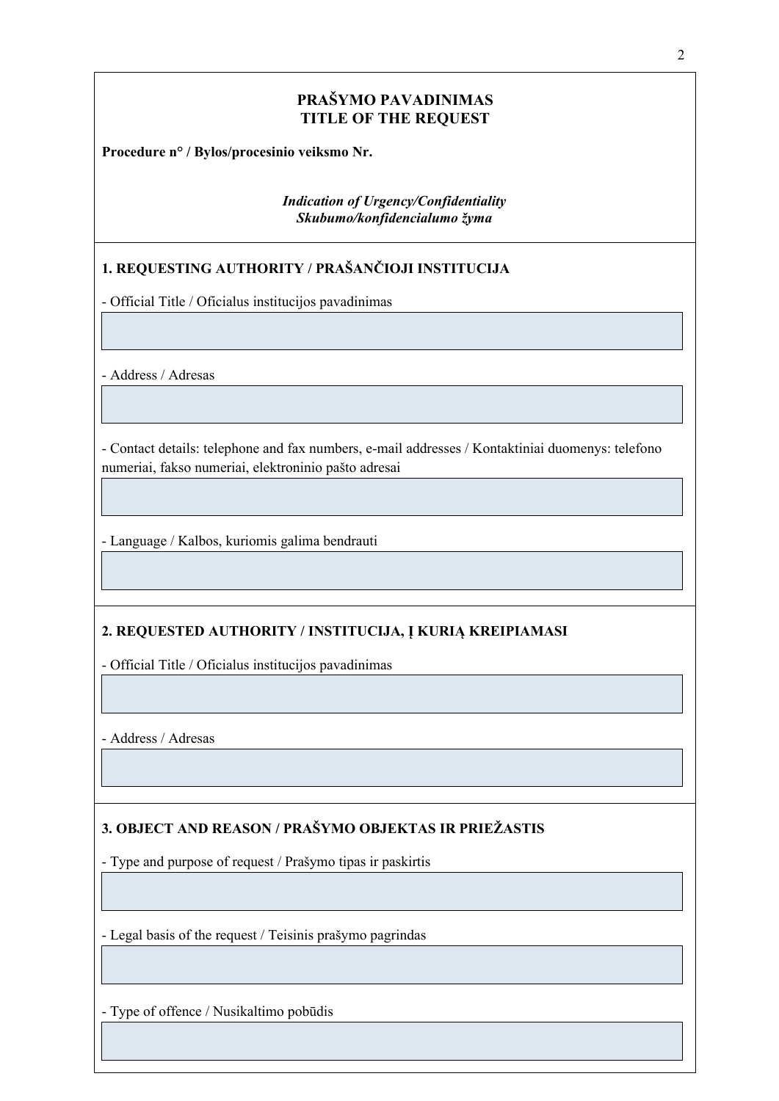# **PRAŠYMO PAVADINIMAS TITLE OF THE REQUEST**

**Procedure n° / Bylos/procesinio veiksmo Nr.**

*Indication of Urgency/Confidentiality Skubumo/konfidencialumo žyma*

# **1. REQUESTING AUTHORITY / PRAŠANČIOJI INSTITUCIJA**

- Official Title / Oficialus institucijos pavadinimas

- Address / Adresas

- Contact details: telephone and fax numbers, e-mail addresses / Kontaktiniai duomenys: telefono numeriai, fakso numeriai, elektroninio pašto adresai

- Language / Kalbos, kuriomis galima bendrauti

# **2. REQUESTED AUTHORITY / INSTITUCIJA, Į KURIĄ KREIPIAMASI**

- Official Title / Oficialus institucijos pavadinimas

- Address / Adresas

# **3. OBJECT AND REASON / PRAŠYMO OBJEKTAS IR PRIEŽASTIS**

- Type and purpose of request / Prašymo tipas ir paskirtis

- Legal basis of the request / Teisinis prašymo pagrindas

- Type of offence / Nusikaltimo pobūdis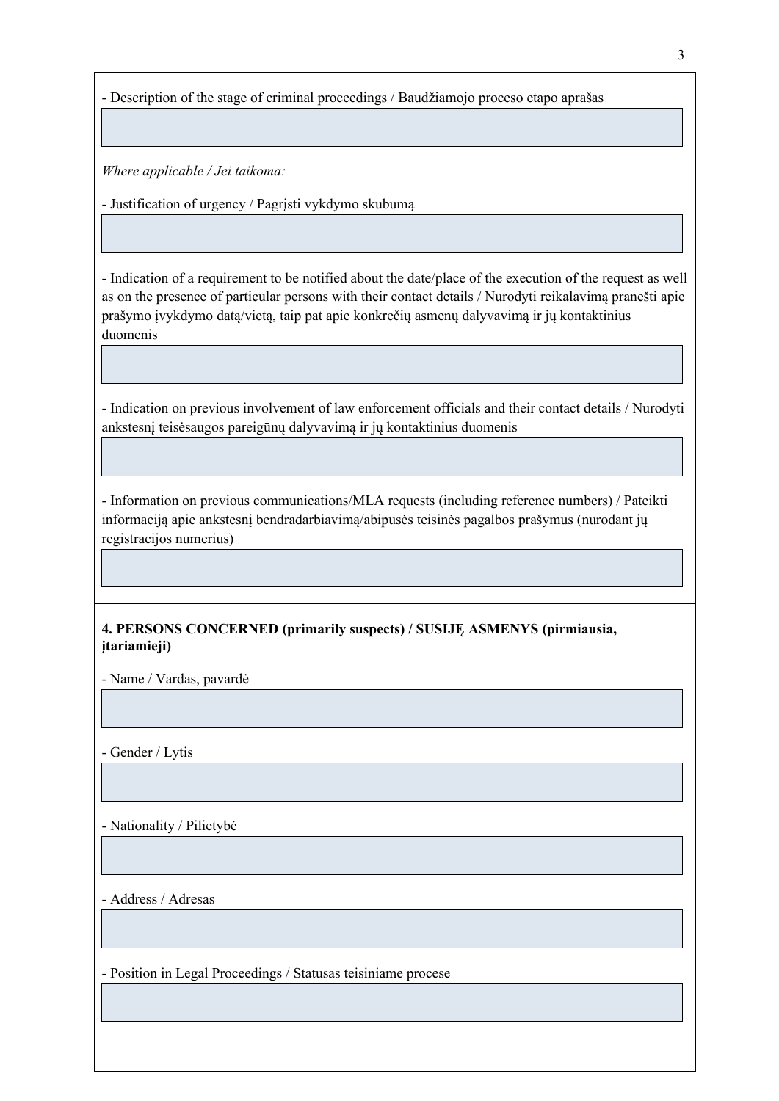- Description of the stage of criminal proceedings / Baudžiamojo proceso etapo aprašas

*Where applicable / Jei taikoma:*

- Justification of urgency / Pagrįsti vykdymo skubumą

- Indication of a requirement to be notified about the date/place of the execution of the request as well as on the presence of particular persons with their contact details / Nurodyti reikalavimą pranešti apie prašymo įvykdymo datą/vietą, taip pat apie konkrečių asmenų dalyvavimą ir jų kontaktinius duomenis

- Indication on previous involvement of law enforcement officials and their contact details / Nurodyti ankstesnį teisėsaugos pareigūnų dalyvavimą ir jų kontaktinius duomenis

- Information on previous communications/MLA requests (including reference numbers) / Pateikti informaciją apie ankstesnį bendradarbiavimą/abipusės teisinės pagalbos prašymus (nurodant jų registracijos numerius)

# **4. PERSONS CONCERNED (primarily suspects) / SUSIJĘ ASMENYS (pirmiausia, įtariamieji)**

- Name / Vardas, pavardė

- Gender / Lytis

- Nationality / Pilietybė

- Address / Adresas

- Position in Legal Proceedings / Statusas teisiniame procese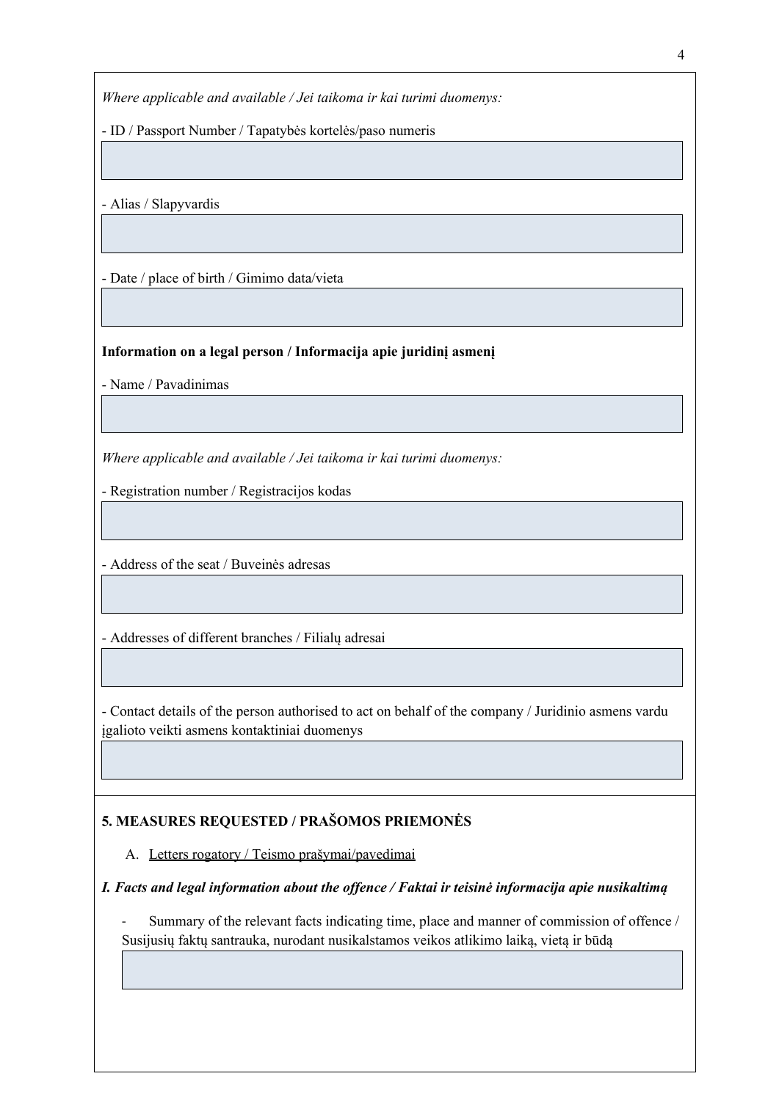*Where applicable and available / Jei taikoma ir kai turimi duomenys:*

- ID / Passport Number / Tapatybės kortelės/paso numeris

- Alias / Slapyvardis

- Date / place of birth / Gimimo data/vieta

### **Information on a legal person / Informacija apie juridinį asmenį**

- Name / Pavadinimas

*Where applicable and available / Jei taikoma ir kai turimi duomenys:*

- Registration number / Registracijos kodas

- Address of the seat / Buveinės adresas

- Addresses of different branches / Filialų adresai

- Contact details of the person authorised to act on behalf of the company / Juridinio asmens vardu įgalioto veikti asmens kontaktiniai duomenys

# **5. MEASURES REQUESTED / PRAŠOMOS PRIEMONĖS**

A. Letters rogatory / Teismo prašymai/pavedimai

# *I. Facts and legal information about the offence / Faktai ir teisinė informacija apie nusikaltimą*

Summary of the relevant facts indicating time, place and manner of commission of offence / Susijusių faktų santrauka, nurodant nusikalstamos veikos atlikimo laiką, vietą ir būdą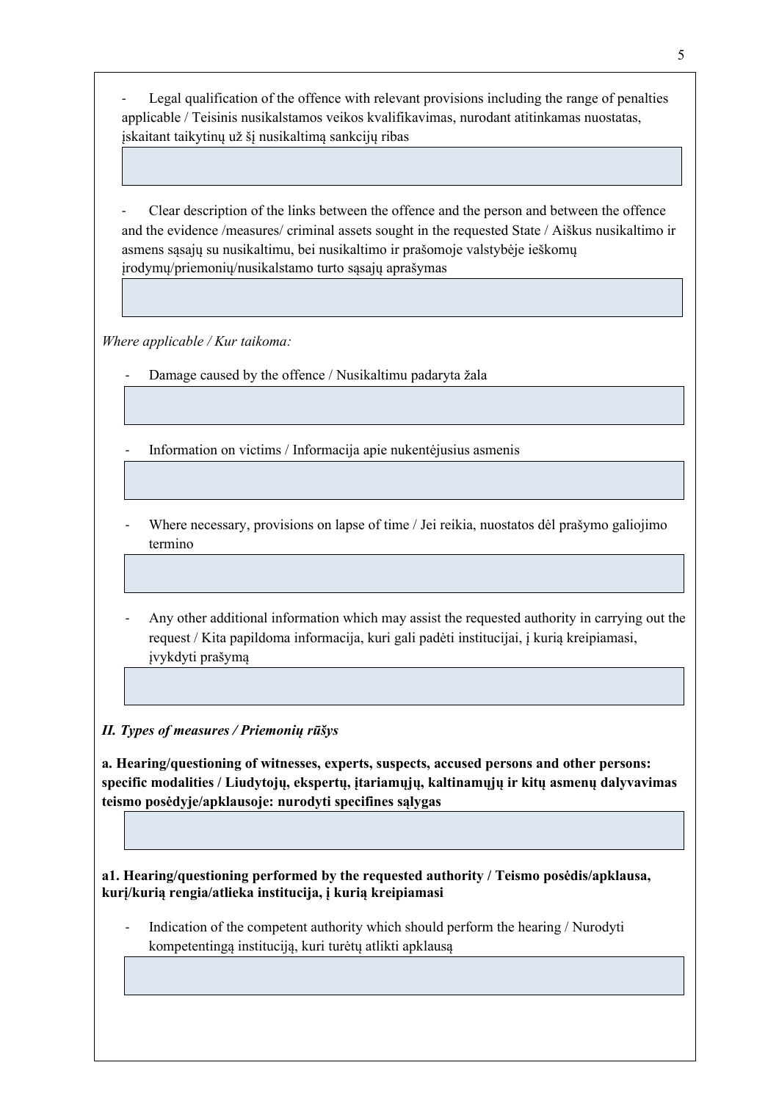Legal qualification of the offence with relevant provisions including the range of penalties applicable / Teisinis nusikalstamos veikos kvalifikavimas, nurodant atitinkamas nuostatas, įskaitant taikytinų už šį nusikaltimą sankcijų ribas

Clear description of the links between the offence and the person and between the offence and the evidence /measures/ criminal assets sought in the requested State / Aiškus nusikaltimo ir asmens sąsajų su nusikaltimu, bei nusikaltimo ir prašomoje valstybėje ieškomų įrodymų/priemonių/nusikalstamo turto sąsajų aprašymas

*Where applicable / Kur taikoma:*

Damage caused by the offence / Nusikaltimu padaryta žala

- Information on victims / Informacija apie nukentėjusius asmenis

- Where necessary, provisions on lapse of time / Jei reikia, nuostatos dėl prašymo galiojimo termino
- Any other additional information which may assist the requested authority in carrying out the request / Kita papildoma informacija, kuri gali padėti institucijai, į kurią kreipiamasi, įvykdyti prašymą

*II. Types of measures / Priemonių rūšys*

**a. Hearing/questioning of witnesses, experts, suspects, accused persons and other persons: specific modalities / Liudytojų, ekspertų, įtariamųjų, kaltinamųjų ir kitų asmenų dalyvavimas teismo posėdyje/apklausoje: nurodyti specifines sąlygas**

**a1. Hearing/questioning performed by the requested authority / Teismo posėdis/apklausa, kurį/kurią rengia/atlieka institucija, į kurią kreipiamasi**

Indication of the competent authority which should perform the hearing / Nurodyti kompetentingą instituciją, kuri turėtų atlikti apklausą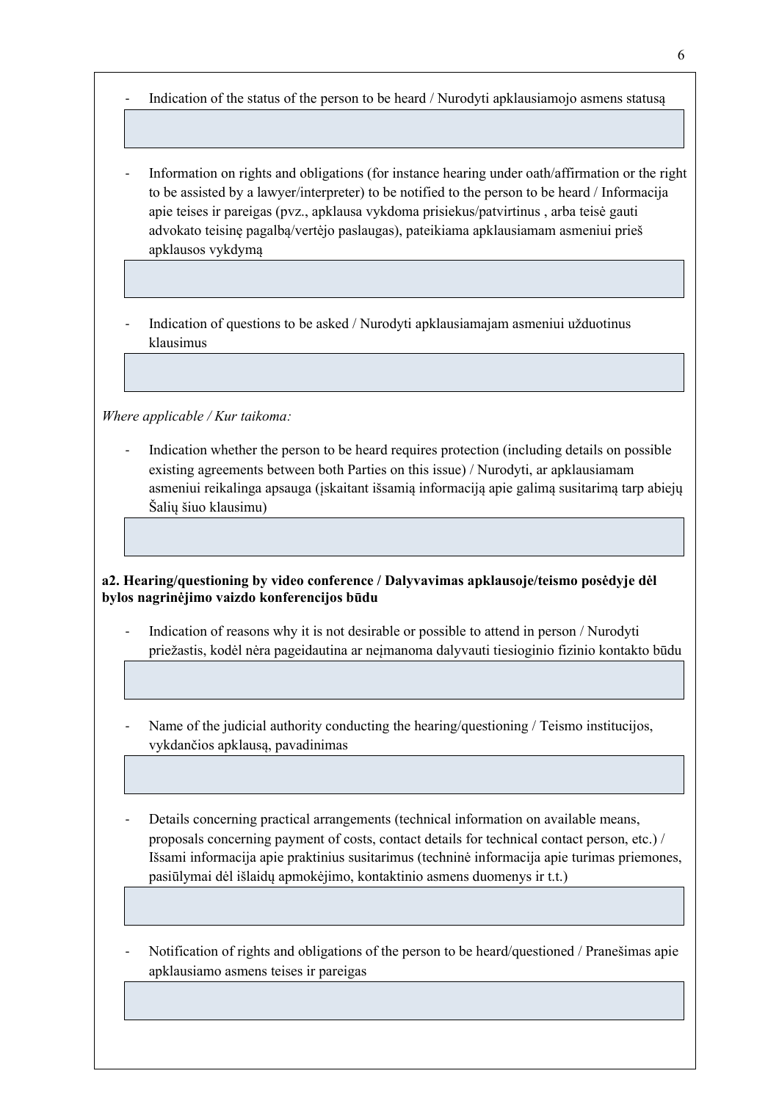- Indication of the status of the person to be heard / Nurodyti apklausiamojo asmens statusą

- Information on rights and obligations (for instance hearing under oath/affirmation or the right to be assisted by a lawyer/interpreter) to be notified to the person to be heard / Informacija apie teises ir pareigas (pvz., apklausa vykdoma prisiekus/patvirtinus , arba teisė gauti advokato teisinę pagalbą/vertėjo paslaugas), pateikiama apklausiamam asmeniui prieš apklausos vykdymą

- Indication of questions to be asked / Nurodyti apklausiamajam asmeniui užduotinus klausimus

*Where applicable / Kur taikoma:*

- Indication whether the person to be heard requires protection (including details on possible existing agreements between both Parties on this issue) / Nurodyti, ar apklausiamam asmeniui reikalinga apsauga (įskaitant išsamią informaciją apie galimą susitarimą tarp abiejų Šalių šiuo klausimu)

**a2. Hearing/questioning by video conference / Dalyvavimas apklausoje/teismo posėdyje dėl bylos nagrinėjimo vaizdo konferencijos būdu**

- Indication of reasons why it is not desirable or possible to attend in person / Nurodyti priežastis, kodėl nėra pageidautina ar neįmanoma dalyvauti tiesioginio fizinio kontakto būdu
- Name of the judicial authority conducting the hearing/questioning / Teismo institucijos, vykdančios apklausą, pavadinimas
- Details concerning practical arrangements (technical information on available means, proposals concerning payment of costs, contact details for technical contact person, etc.) / Išsami informacija apie praktinius susitarimus (techninė informacija apie turimas priemones, pasiūlymai dėl išlaidų apmokėjimo, kontaktinio asmens duomenys ir t.t.)
- Notification of rights and obligations of the person to be heard/questioned / Pranešimas apie apklausiamo asmens teises ir pareigas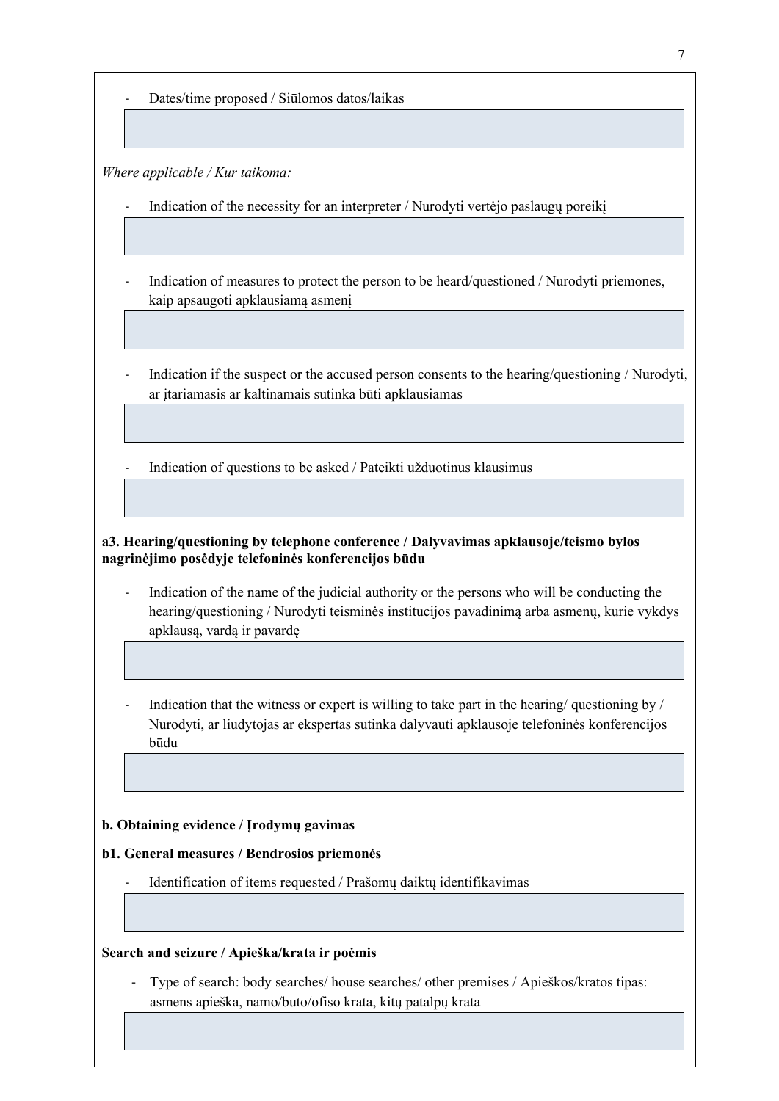- Dates/time proposed / Siūlomos datos/laikas

*Where applicable / Kur taikoma:*

Indication of the necessity for an interpreter / Nurodyti vertėjo paslaugų poreikį

- Indication of measures to protect the person to be heard/questioned / Nurodyti priemones, kaip apsaugoti apklausiamą asmenį
- Indication if the suspect or the accused person consents to the hearing/questioning / Nurodyti, ar įtariamasis ar kaltinamais sutinka būti apklausiamas

- Indication of questions to be asked / Pateikti užduotinus klausimus

**a3. Hearing/questioning by telephone conference / Dalyvavimas apklausoje/teismo bylos nagrinėjimo posėdyje telefoninės konferencijos būdu**

- Indication of the name of the judicial authority or the persons who will be conducting the hearing/questioning / Nurodyti teisminės institucijos pavadinimą arba asmenų, kurie vykdys apklausą, vardą ir pavardę
- Indication that the witness or expert is willing to take part in the hearing/ questioning by / Nurodyti, ar liudytojas ar ekspertas sutinka dalyvauti apklausoje telefoninės konferencijos būdu

#### **b. Obtaining evidence / Įrodymų gavimas**

#### **b1. General measures / Bendrosios priemonės**

Identification of items requested / Prašomų daiktų identifikavimas

#### **Search and seizure / Apieška/krata ir poėmis**

Type of search: body searches/ house searches/ other premises / Apieškos/kratos tipas: asmens apieška, namo/buto/ofiso krata, kitų patalpų krata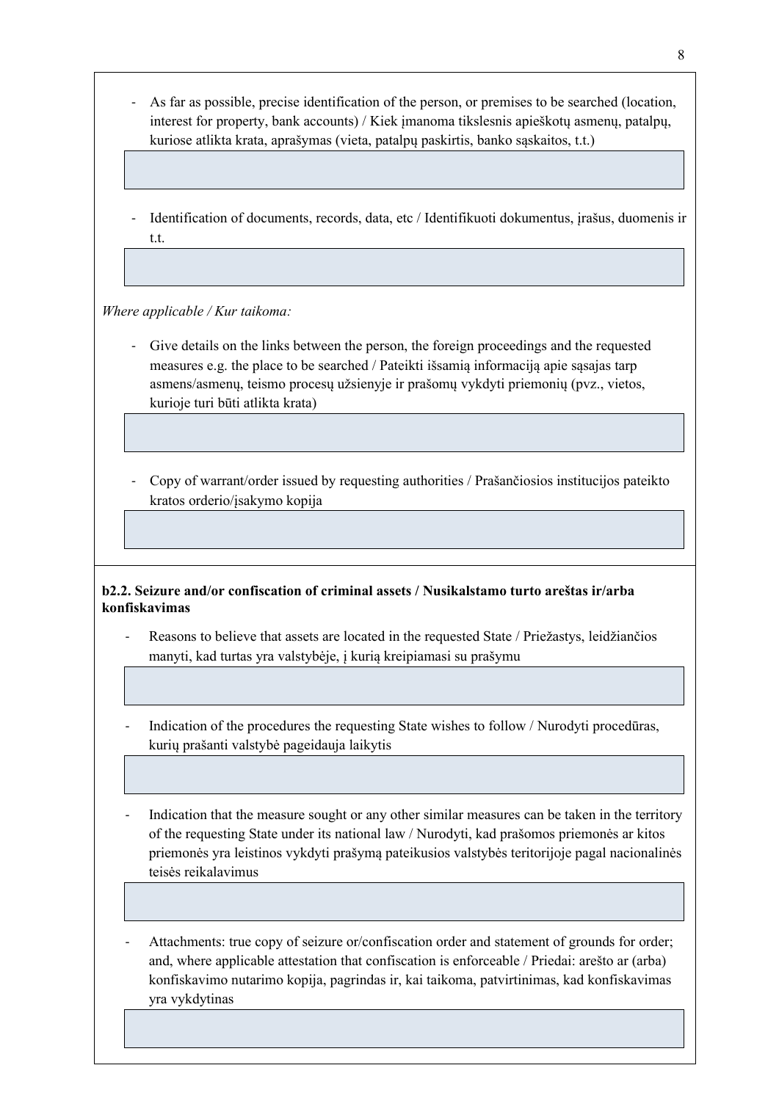- As far as possible, precise identification of the person, or premises to be searched (location, interest for property, bank accounts) / Kiek įmanoma tikslesnis apieškotų asmenų, patalpų, kuriose atlikta krata, aprašymas (vieta, patalpų paskirtis, banko sąskaitos, t.t.)
- Identification of documents, records, data, etc / Identifikuoti dokumentus, įrašus, duomenis ir t.t.

*Where applicable / Kur taikoma:*

- Give details on the links between the person, the foreign proceedings and the requested measures e.g. the place to be searched / Pateikti išsamią informaciją apie sąsajas tarp asmens/asmenų, teismo procesų užsienyje ir prašomų vykdyti priemonių (pvz., vietos, kurioje turi būti atlikta krata)
- Copy of warrant/order issued by requesting authorities / Prašančiosios institucijos pateikto kratos orderio/įsakymo kopija

# **b2.2. Seizure and/or confiscation of criminal assets / Nusikalstamo turto areštas ir/arba konfiskavimas**

- Reasons to believe that assets are located in the requested State / Priežastys, leidžiančios manyti, kad turtas yra valstybėje, į kurią kreipiamasi su prašymu
- Indication of the procedures the requesting State wishes to follow / Nurodyti procedūras, kurių prašanti valstybė pageidauja laikytis
- Indication that the measure sought or any other similar measures can be taken in the territory of the requesting State under its national law / Nurodyti, kad prašomos priemonės ar kitos priemonės yra leistinos vykdyti prašymą pateikusios valstybės teritorijoje pagal nacionalinės teisės reikalavimus
- Attachments: true copy of seizure or/confiscation order and statement of grounds for order; and, where applicable attestation that confiscation is enforceable / Priedai: arešto ar (arba) konfiskavimo nutarimo kopija, pagrindas ir, kai taikoma, patvirtinimas, kad konfiskavimas yra vykdytinas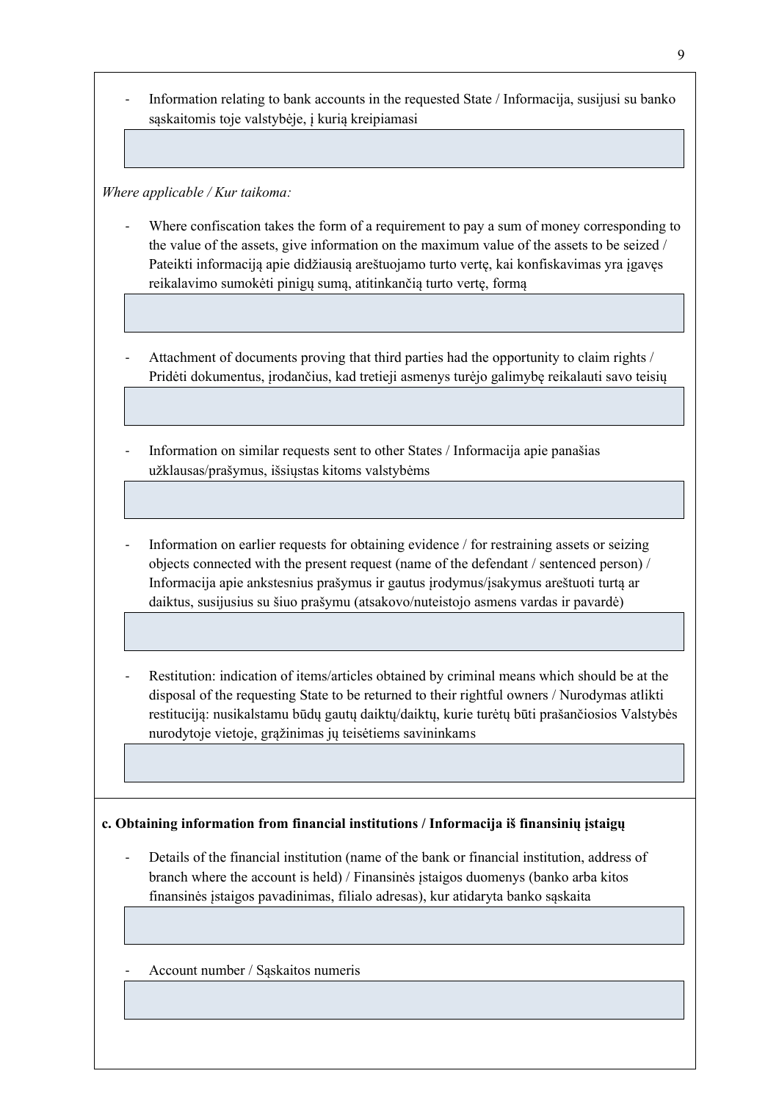- Information relating to bank accounts in the requested State / Informacija, susijusi su banko sąskaitomis toje valstybėje, į kurią kreipiamasi

*Where applicable / Kur taikoma:*

- Where confiscation takes the form of a requirement to pay a sum of money corresponding to the value of the assets, give information on the maximum value of the assets to be seized / Pateikti informaciją apie didžiausią areštuojamo turto vertę, kai konfiskavimas yra įgavęs reikalavimo sumokėti pinigų sumą, atitinkančią turto vertę, formą
- Attachment of documents proving that third parties had the opportunity to claim rights / Pridėti dokumentus, įrodančius, kad tretieji asmenys turėjo galimybę reikalauti savo teisių
- Information on similar requests sent to other States / Informacija apie panašias užklausas/prašymus, išsiųstas kitoms valstybėms
- Information on earlier requests for obtaining evidence / for restraining assets or seizing objects connected with the present request (name of the defendant / sentenced person) / Informacija apie ankstesnius prašymus ir gautus įrodymus/įsakymus areštuoti turtą ar daiktus, susijusius su šiuo prašymu (atsakovo/nuteistojo asmens vardas ir pavardė)
- Restitution: indication of items/articles obtained by criminal means which should be at the disposal of the requesting State to be returned to their rightful owners / Nurodymas atlikti restituciją: nusikalstamu būdų gautų daiktų/daiktų, kurie turėtų būti prašančiosios Valstybės nurodytoje vietoje, grąžinimas jų teisėtiems savininkams

**c. Obtaining information from financial institutions / Informacija iš finansinių įstaigų**

- Details of the financial institution (name of the bank or financial institution, address of branch where the account is held) / Finansinės įstaigos duomenys (banko arba kitos finansinės įstaigos pavadinimas, filialo adresas), kur atidaryta banko sąskaita
- Account number / Sąskaitos numeris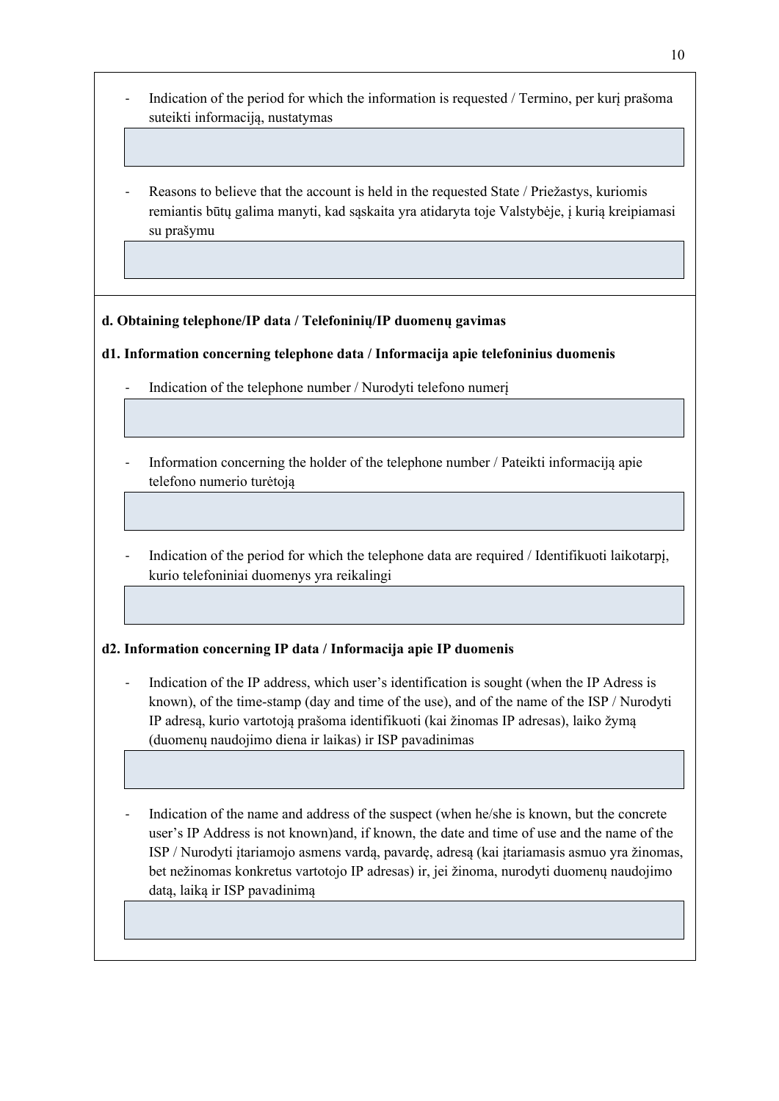- Indication of the period for which the information is requested / Termino, per kurį prašoma suteikti informaciją, nustatymas
- Reasons to believe that the account is held in the requested State / Priežastys, kuriomis remiantis būtų galima manyti, kad sąskaita yra atidaryta toje Valstybėje, į kurią kreipiamasi su prašymu

# **d. Obtaining telephone/IP data / Telefoninių/IP duomenų gavimas**

### **d1. Information concerning telephone data / Informacija apie telefoninius duomenis**

- Indication of the telephone number / Nurodyti telefono numeri
- Information concerning the holder of the telephone number / Pateikti informaciją apie telefono numerio turėtoją
- Indication of the period for which the telephone data are required / Identifikuoti laikotarpį, kurio telefoniniai duomenys yra reikalingi

#### **d2. Information concerning IP data / Informacija apie IP duomenis**

- Indication of the IP address, which user's identification is sought (when the IP Adress is known), of the time-stamp (day and time of the use), and of the name of the ISP / Nurodyti IP adresą, kurio vartotoją prašoma identifikuoti (kai žinomas IP adresas), laiko žymą (duomenų naudojimo diena ir laikas) ir ISP pavadinimas
- Indication of the name and address of the suspect (when he/she is known, but the concrete user's IP Address is not known)and, if known, the date and time of use and the name of the ISP / Nurodyti įtariamojo asmens vardą, pavardę, adresą (kai įtariamasis asmuo yra žinomas, bet nežinomas konkretus vartotojo IP adresas) ir, jei žinoma, nurodyti duomenų naudojimo datą, laiką ir ISP pavadinimą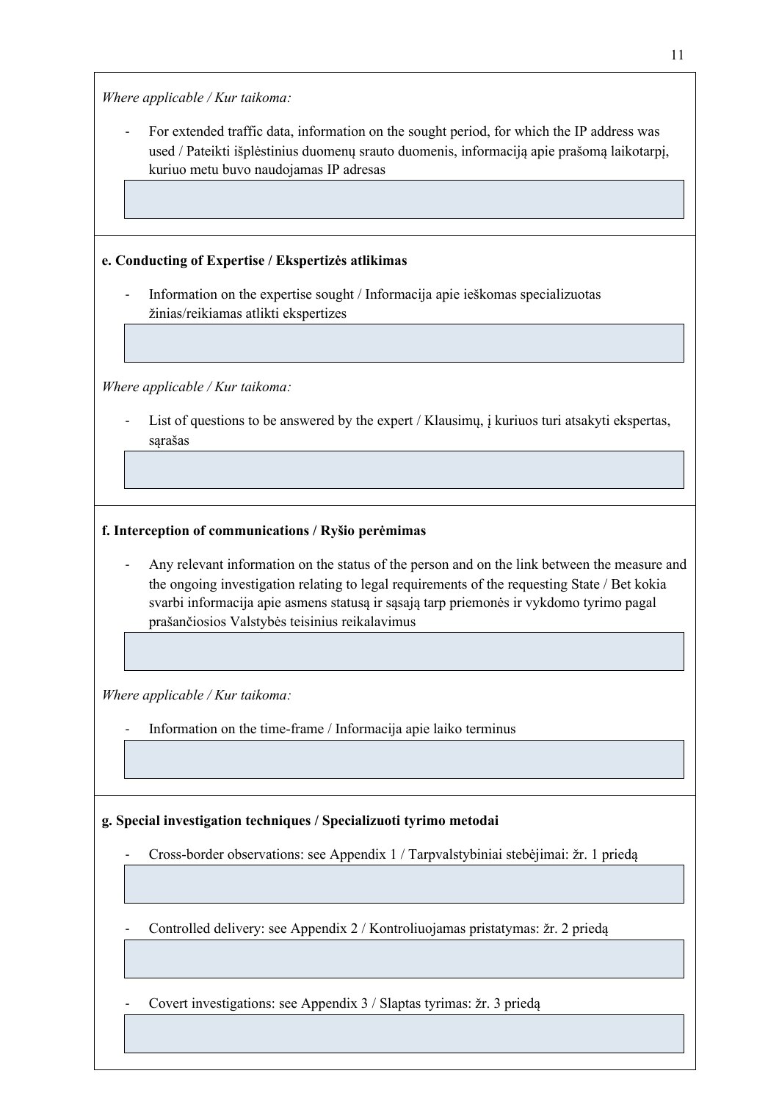*Where applicable / Kur taikoma:*

For extended traffic data, information on the sought period, for which the IP address was used / Pateikti išplėstinius duomenų srauto duomenis, informaciją apie prašomą laikotarpį, kuriuo metu buvo naudojamas IP adresas

# **e. Conducting of Expertise / Ekspertizės atlikimas**

Information on the expertise sought / Informacija apie ieškomas specializuotas žinias/reikiamas atlikti ekspertizes

*Where applicable / Kur taikoma:*

List of questions to be answered by the expert / Klausimų, į kuriuos turi atsakyti ekspertas, sąrašas

# **f. Interception of communications / Ryšio perėmimas**

Any relevant information on the status of the person and on the link between the measure and the ongoing investigation relating to legal requirements of the requesting State / Bet kokia svarbi informacija apie asmens statusą ir sąsają tarp priemonės ir vykdomo tyrimo pagal prašančiosios Valstybės teisinius reikalavimus

*Where applicable / Kur taikoma:*

- Information on the time-frame / Informacija apie laiko terminus

# **g. Special investigation techniques / Specializuoti tyrimo metodai**

- Cross-border observations: see Appendix 1 / Tarpvalstybiniai stebėjimai: žr. 1 priedą

Controlled delivery: see Appendix 2 / Kontroliuojamas pristatymas: žr. 2 priedą

- Covert investigations: see Appendix 3 / Slaptas tyrimas: žr. 3 priedą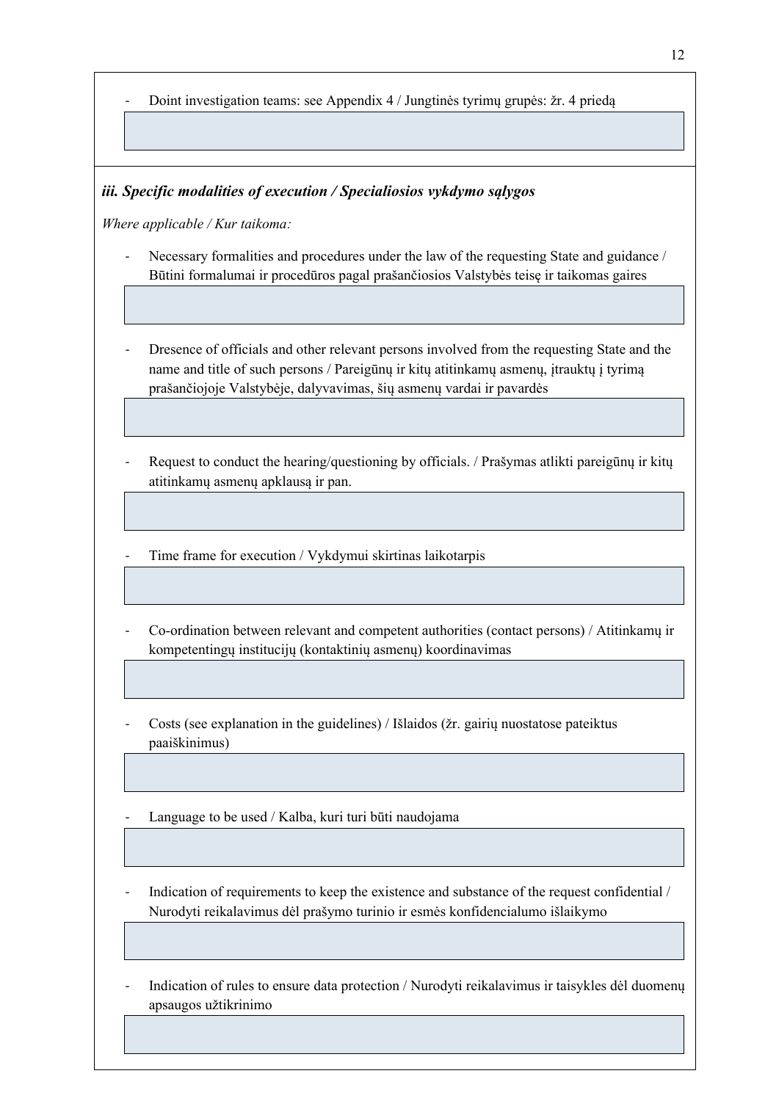- Doint investigation teams: see Appendix 4 / Jungtinės tyrimų grupės: žr. 4 priedą

#### *iii. Specific modalities of execution / Specialiosios vykdymo sąlygos*

*Where applicable / Kur taikoma:*

- Necessary formalities and procedures under the law of the requesting State and guidance / Būtini formalumai ir procedūros pagal prašančiosios Valstybės teisę ir taikomas gaires
- Dresence of officials and other relevant persons involved from the requesting State and the name and title of such persons / Pareigūnų ir kitų atitinkamų asmenų, įtrauktų į tyrimą prašančiojoje Valstybėje, dalyvavimas, šių asmenų vardai ir pavardės
- Request to conduct the hearing/questioning by officials. / Prašymas atlikti pareigūnų ir kitų atitinkamų asmenų apklausą ir pan.
- Time frame for execution / Vykdymui skirtinas laikotarpis
- Co-ordination between relevant and competent authorities (contact persons) / Atitinkamų ir kompetentingų institucijų (kontaktinių asmenų) koordinavimas
- Costs (see explanation in the guidelines) / Išlaidos (žr. gairių nuostatose pateiktus paaiškinimus)
- Language to be used / Kalba, kuri turi būti naudojama
- Indication of requirements to keep the existence and substance of the request confidential / Nurodyti reikalavimus dėl prašymo turinio ir esmės konfidencialumo išlaikymo
- Indication of rules to ensure data protection / Nurodyti reikalavimus ir taisykles dėl duomenų apsaugos užtikrinimo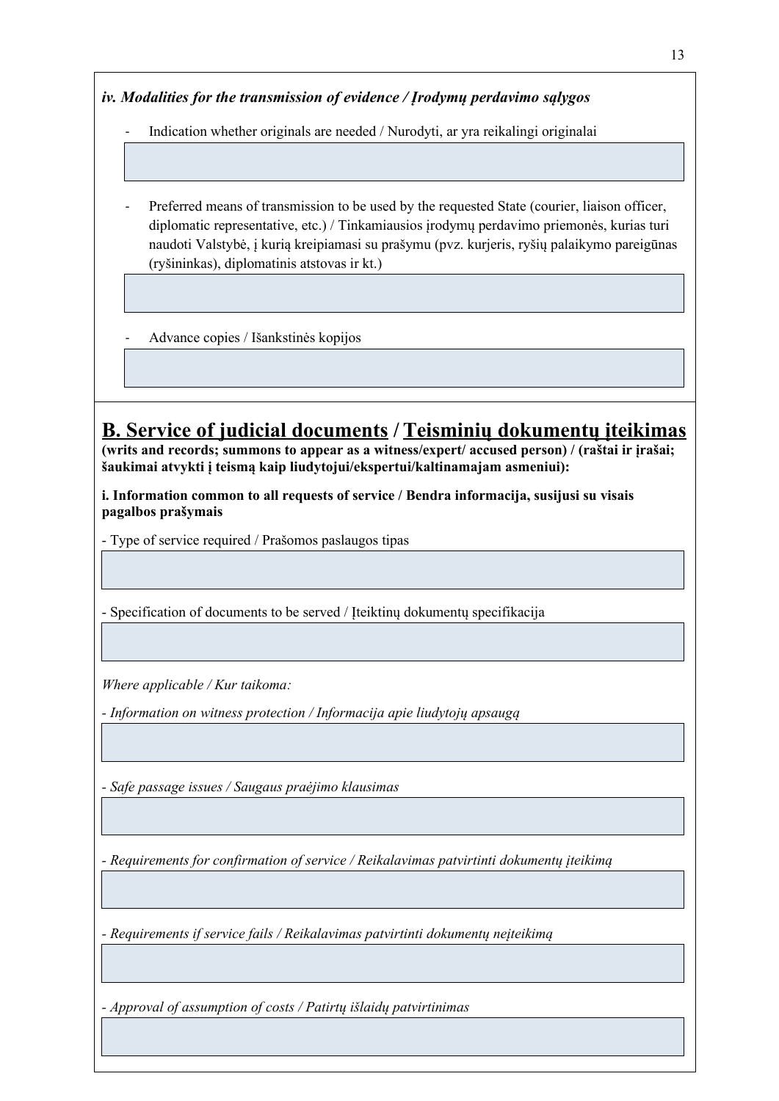*iv. Modalities for the transmission of evidence / Įrodymų perdavimo sąlygos*

- Indication whether originals are needed / Nurodyti, ar yra reikalingi originalai

Preferred means of transmission to be used by the requested State (courier, liaison officer, diplomatic representative, etc.) / Tinkamiausios įrodymų perdavimo priemonės, kurias turi naudoti Valstybė, į kurią kreipiamasi su prašymu (pvz. kurjeris, ryšių palaikymo pareigūnas (ryšininkas), diplomatinis atstovas ir kt.)

- Advance copies / Išankstinės kopijos

# **B. Service of judicial documents / Teisminių dokumentų įteikimas**

**(writs and records; summons to appear as a witness/expert/ accused person) / (raštai ir įrašai; šaukimai atvykti į teismą kaip liudytojui/ekspertui/kaltinamajam asmeniui):**

**i. Information common to all requests of service / Bendra informacija, susijusi su visais pagalbos prašymais**

- Type of service required / Prašomos paslaugos tipas

- Specification of documents to be served / Įteiktinų dokumentų specifikacija

*Where applicable / Kur taikoma:*

*- Information on witness protection / Informacija apie liudytojų apsaugą*

*- Safe passage issues / Saugaus praėjimo klausimas*

*- Requirements for confirmation of service / Reikalavimas patvirtinti dokumentų įteikimą*

*- Requirements if service fails / Reikalavimas patvirtinti dokumentų neįteikimą*

*- Approval of assumption of costs / Patirtų išlaidų patvirtinimas*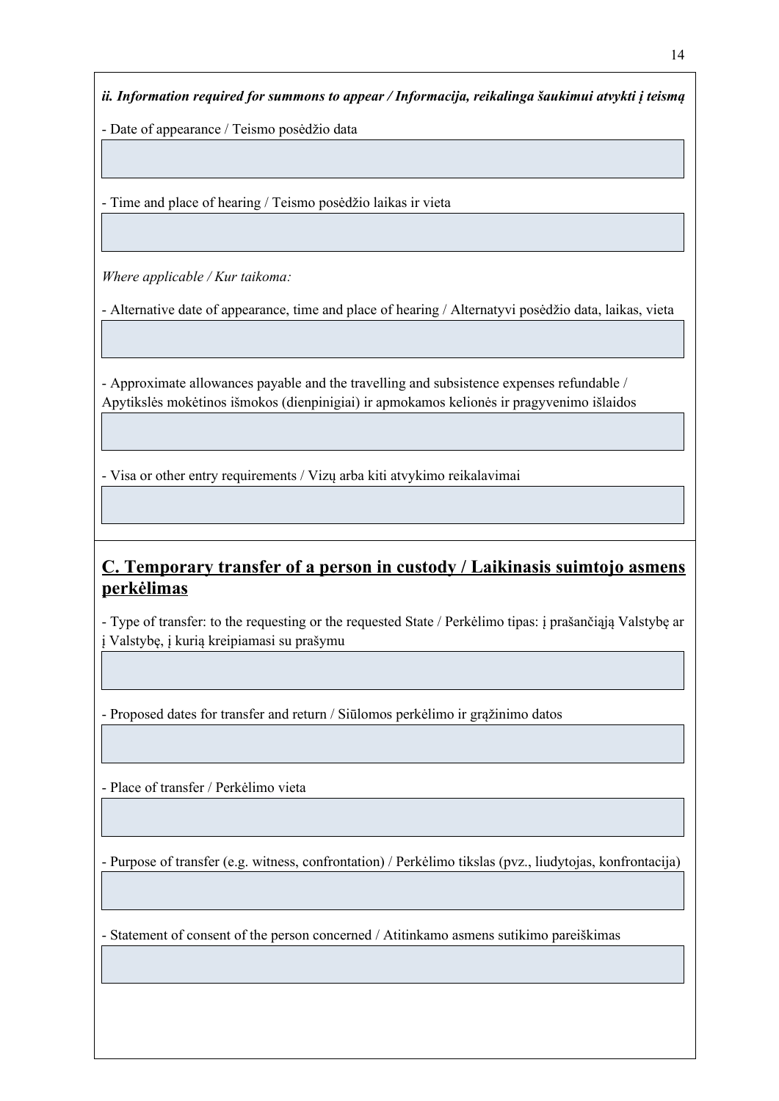*ii. Information required for summons to appear / Informacija, reikalinga šaukimui atvykti į teismą*

- Date of appearance / Teismo posėdžio data

- Time and place of hearing / Teismo posėdžio laikas ir vieta

*Where applicable / Kur taikoma:*

- Alternative date of appearance, time and place of hearing / Alternatyvi posėdžio data, laikas, vieta

- Approximate allowances payable and the travelling and subsistence expenses refundable / Apytikslės mokėtinos išmokos (dienpinigiai) ir apmokamos kelionės ir pragyvenimo išlaidos

- Visa or other entry requirements / Vizų arba kiti atvykimo reikalavimai

# **C. Temporary transfer of a person in custody / Laikinasis suimtojo asmens perkėlimas**

- Type of transfer: to the requesting or the requested State / Perkėlimo tipas: į prašančiąją Valstybę ar į Valstybę, į kurią kreipiamasi su prašymu

- Proposed dates for transfer and return / Siūlomos perkėlimo ir grąžinimo datos

- Place of transfer / Perkėlimo vieta

- Purpose of transfer (e.g. witness, confrontation) / Perkėlimo tikslas (pvz., liudytojas, konfrontacija)

- Statement of consent of the person concerned / Atitinkamo asmens sutikimo pareiškimas